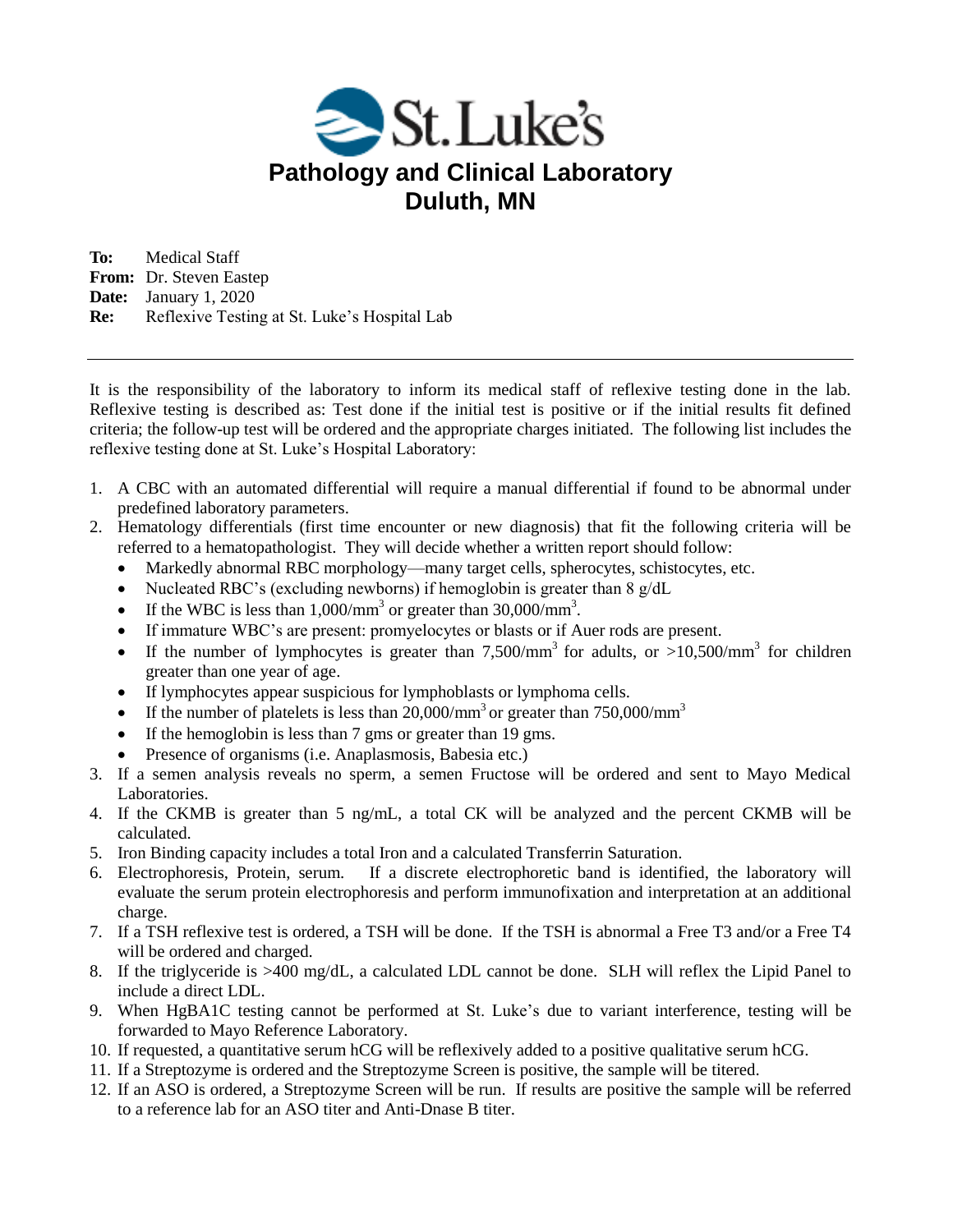

**To:** Medical Staff **From:** Dr. Steven Eastep **Date:** January 1, 2020 **Re:** Reflexive Testing at St. Luke's Hospital Lab

It is the responsibility of the laboratory to inform its medical staff of reflexive testing done in the lab. Reflexive testing is described as: Test done if the initial test is positive or if the initial results fit defined criteria; the follow-up test will be ordered and the appropriate charges initiated. The following list includes the reflexive testing done at St. Luke's Hospital Laboratory:

- 1. A CBC with an automated differential will require a manual differential if found to be abnormal under predefined laboratory parameters.
- 2. Hematology differentials (first time encounter or new diagnosis) that fit the following criteria will be referred to a hematopathologist. They will decide whether a written report should follow:
	- Markedly abnormal RBC morphology—many target cells, spherocytes, schistocytes, etc.
	- Nucleated RBC's (excluding newborns) if hemoglobin is greater than  $8 \text{ g/d}$ L
	- If the WBC is less than  $1,000/\text{mm}^3$  or greater than  $30,000/\text{mm}^3$ .
	- If immature WBC's are present: promyelocytes or blasts or if Auer rods are present.
	- If the number of lymphocytes is greater than  $7,500/\text{mm}^3$  for adults, or  $>10,500/\text{mm}^3$  for children greater than one year of age.
	- If lymphocytes appear suspicious for lymphoblasts or lymphoma cells.
	- If the number of platelets is less than  $20,000/\text{mm}^3$  or greater than  $750,000/\text{mm}^3$
	- If the hemoglobin is less than 7 gms or greater than 19 gms.
	- Presence of organisms (i.e. Anaplasmosis, Babesia etc.)
- 3. If a semen analysis reveals no sperm, a semen Fructose will be ordered and sent to Mayo Medical Laboratories.
- 4. If the CKMB is greater than 5 ng/mL, a total CK will be analyzed and the percent CKMB will be calculated.
- 5. Iron Binding capacity includes a total Iron and a calculated Transferrin Saturation.
- 6. Electrophoresis, Protein, serum. If a discrete electrophoretic band is identified, the laboratory will evaluate the serum protein electrophoresis and perform immunofixation and interpretation at an additional charge.
- 7. If a TSH reflexive test is ordered, a TSH will be done. If the TSH is abnormal a Free T3 and/or a Free T4 will be ordered and charged.
- 8. If the triglyceride is >400 mg/dL, a calculated LDL cannot be done. SLH will reflex the Lipid Panel to include a direct LDL.
- 9. When HgBA1C testing cannot be performed at St. Luke's due to variant interference, testing will be forwarded to Mayo Reference Laboratory.
- 10. If requested, a quantitative serum hCG will be reflexively added to a positive qualitative serum hCG.
- 11. If a Streptozyme is ordered and the Streptozyme Screen is positive, the sample will be titered.
- 12. If an ASO is ordered, a Streptozyme Screen will be run. If results are positive the sample will be referred to a reference lab for an ASO titer and Anti-Dnase B titer.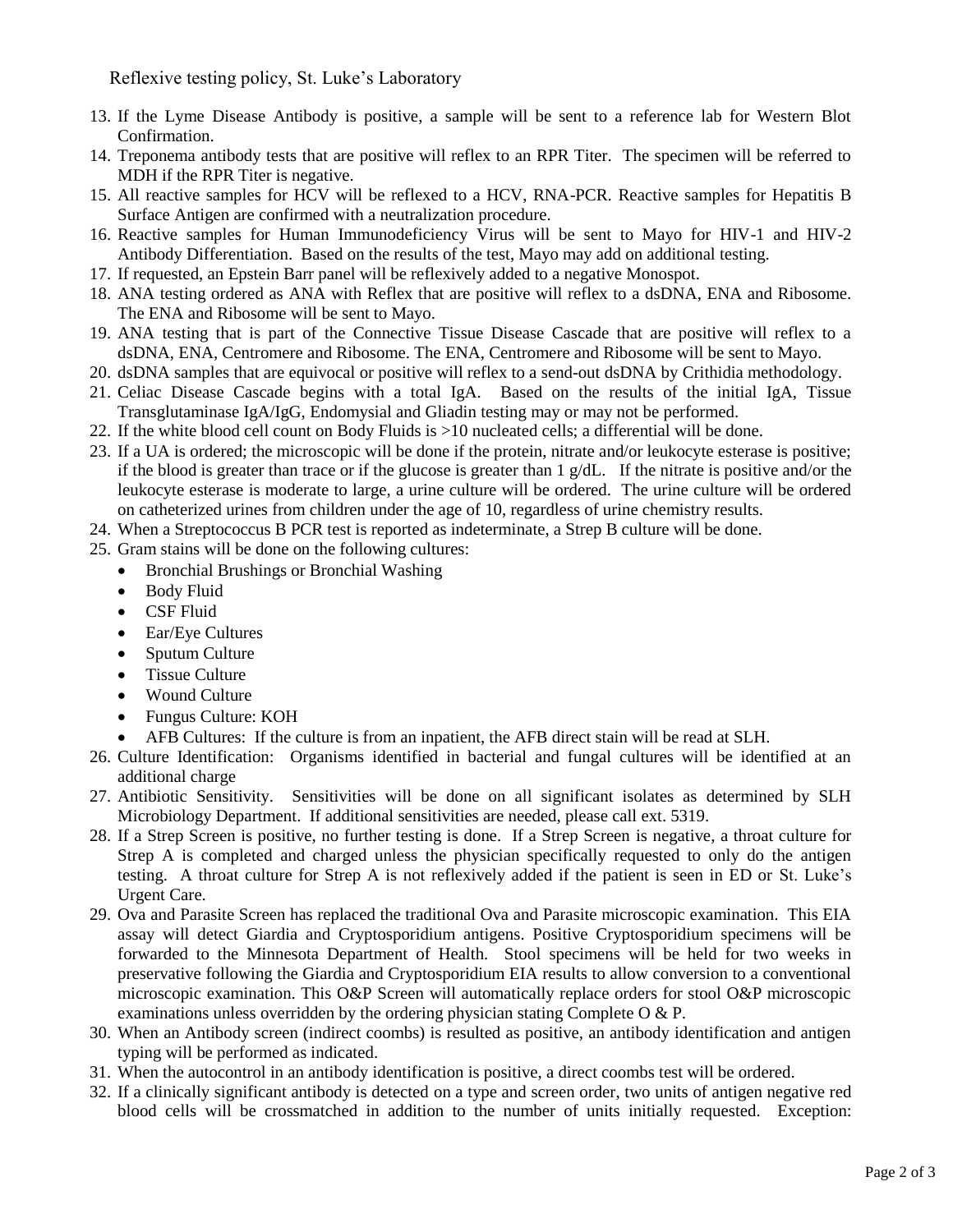Reflexive testing policy, St. Luke's Laboratory

- 13. If the Lyme Disease Antibody is positive, a sample will be sent to a reference lab for Western Blot Confirmation.
- 14. Treponema antibody tests that are positive will reflex to an RPR Titer. The specimen will be referred to MDH if the RPR Titer is negative.
- 15. All reactive samples for HCV will be reflexed to a HCV, RNA-PCR. Reactive samples for Hepatitis B Surface Antigen are confirmed with a neutralization procedure.
- 16. Reactive samples for Human Immunodeficiency Virus will be sent to Mayo for HIV-1 and HIV-2 Antibody Differentiation. Based on the results of the test, Mayo may add on additional testing.
- 17. If requested, an Epstein Barr panel will be reflexively added to a negative Monospot.
- 18. ANA testing ordered as ANA with Reflex that are positive will reflex to a dsDNA, ENA and Ribosome. The ENA and Ribosome will be sent to Mayo.
- 19. ANA testing that is part of the Connective Tissue Disease Cascade that are positive will reflex to a dsDNA, ENA, Centromere and Ribosome. The ENA, Centromere and Ribosome will be sent to Mayo.
- 20. dsDNA samples that are equivocal or positive will reflex to a send-out dsDNA by Crithidia methodology.
- 21. Celiac Disease Cascade begins with a total IgA. Based on the results of the initial IgA, Tissue Transglutaminase IgA/IgG, Endomysial and Gliadin testing may or may not be performed.
- 22. If the white blood cell count on Body Fluids is >10 nucleated cells; a differential will be done.
- 23. If a UA is ordered; the microscopic will be done if the protein, nitrate and/or leukocyte esterase is positive; if the blood is greater than trace or if the glucose is greater than 1 g/dL. If the nitrate is positive and/or the leukocyte esterase is moderate to large, a urine culture will be ordered. The urine culture will be ordered on catheterized urines from children under the age of 10, regardless of urine chemistry results.
- 24. When a Streptococcus B PCR test is reported as indeterminate, a Strep B culture will be done.
- 25. Gram stains will be done on the following cultures:
	- Bronchial Brushings or Bronchial Washing
	- Body Fluid
	- CSF Fluid
	- Ear/Eye Cultures
	- Sputum Culture
	- Tissue Culture
	- Wound Culture
	- Fungus Culture: KOH
	- AFB Cultures: If the culture is from an inpatient, the AFB direct stain will be read at SLH.
- 26. Culture Identification: Organisms identified in bacterial and fungal cultures will be identified at an additional charge
- 27. Antibiotic Sensitivity. Sensitivities will be done on all significant isolates as determined by SLH Microbiology Department. If additional sensitivities are needed, please call ext. 5319.
- 28. If a Strep Screen is positive, no further testing is done. If a Strep Screen is negative, a throat culture for Strep A is completed and charged unless the physician specifically requested to only do the antigen testing. A throat culture for Strep A is not reflexively added if the patient is seen in ED or St. Luke's Urgent Care.
- 29. Ova and Parasite Screen has replaced the traditional Ova and Parasite microscopic examination. This EIA assay will detect Giardia and Cryptosporidium antigens. Positive Cryptosporidium specimens will be forwarded to the Minnesota Department of Health. Stool specimens will be held for two weeks in preservative following the Giardia and Cryptosporidium EIA results to allow conversion to a conventional microscopic examination. This O&P Screen will automatically replace orders for stool O&P microscopic examinations unless overridden by the ordering physician stating Complete O & P.
- 30. When an Antibody screen (indirect coombs) is resulted as positive, an antibody identification and antigen typing will be performed as indicated.
- 31. When the autocontrol in an antibody identification is positive, a direct coombs test will be ordered.
- 32. If a clinically significant antibody is detected on a type and screen order, two units of antigen negative red blood cells will be crossmatched in addition to the number of units initially requested. Exception: